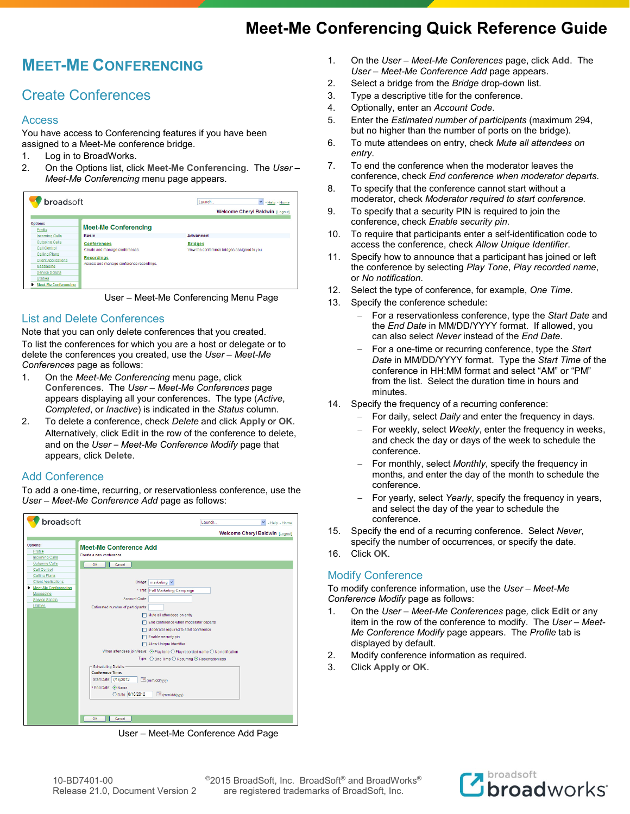# **MEET-ME CONFERENCING**

## Create Conferences

#### Access

You have access to Conferencing features if you have been assigned to a Meet-Me conference bridge.

- 1. Log in to BroadWorks.
- 2. On the Options list, click **Meet-Me Conferencing**. The *User – Meet-Me Conferencing* menu page appears.

| broadsoft                   |                                          | Launch -<br>v<br>- Help - Home<br>Welcome Cheryl Baldwin [Logout] |  |
|-----------------------------|------------------------------------------|-------------------------------------------------------------------|--|
| Options:                    |                                          |                                                                   |  |
| Profile                     | <b>Meet-Me Conferencing</b>              |                                                                   |  |
| Incoming Calls              | <b>Basic</b>                             | Advanced                                                          |  |
| Outgoing Calls              | <b>Conferences</b>                       | <b>Bridges</b>                                                    |  |
| Call Control                | Create and manage conferences.           | View the conference bridges assigned to you.                      |  |
| Calling Plans               |                                          |                                                                   |  |
| <b>Client Applications</b>  | <b>Recordings</b>                        |                                                                   |  |
| Messaging                   | Access and manage conference recordings. |                                                                   |  |
| <b>Service Scripts</b>      |                                          |                                                                   |  |
| <b>Utilities</b>            |                                          |                                                                   |  |
| <b>Meet-Me Conferencing</b> |                                          |                                                                   |  |

User – Meet-Me Conferencing Menu Page

### List and Delete Conferences

Note that you can only delete conferences that you created. To list the conferences for which you are a host or delegate or to delete the conferences you created, use the *User – Meet-Me Conferences* page as follows:

- 1. On the *Meet-Me Conferencing* menu page, click **Conferences**. The *User – Meet-Me Conferences* page appears displaying all your conferences. The type (*Active*, *Completed*, or *Inactive*) is indicated in the *Status* column.
- 2. To delete a conference, check *Delete* and click **Apply** or **OK**. Alternatively, click **Edit** in the row of the conference to delete, and on the *User* – *Meet-Me Conference Modify* page that appears, click **Delete**.

### <span id="page-0-0"></span>Add Conference

To add a one-time, recurring, or reservationless conference, use the *User – Meet-Me Conference Add* page as follows:

| broadsoft                                                                                                         | Launch<br>$\checkmark$<br>- Help - Home                                                                                                                                                                                                                                           |
|-------------------------------------------------------------------------------------------------------------------|-----------------------------------------------------------------------------------------------------------------------------------------------------------------------------------------------------------------------------------------------------------------------------------|
|                                                                                                                   | Welcome Cheryl Baldwin [Logout]                                                                                                                                                                                                                                                   |
| <b>Options:</b><br>Profile<br><b>Incoming Calls</b><br>Outgoing Calls<br>Call Control                             | Meet-Me Conference Add<br>Create a new conference.<br>OK<br>Cancel                                                                                                                                                                                                                |
| Calling Plans<br><b>Client Applications</b><br><b>Meet-Me Conferencing</b><br>Messaging<br><b>Service Scripts</b> | Bridge: marketing v<br>* Title: Fall Marketing Campaign<br>Account Code:                                                                                                                                                                                                          |
| Utilities                                                                                                         | Estimated number of participants:<br>Mute all attendees on entry<br>End conference when moderator departs<br>Moderator required to start conference<br>Enable security pin<br>Allow Unique Identifier                                                                             |
|                                                                                                                   | When attendees join/leave: © Play tone O Play recorded name O No notification<br>Type: ○ One Time ○ Recurring ⊙ Reservationless<br>Scheduling Details<br>Conference Time:<br>Start Date: 7/16/2012<br>mm/dd/yyyy)<br>* End Date: @ Never<br>O Date 8/16/2012<br>$\Box$ (mm/dd/ww) |
|                                                                                                                   | OK<br>Cancel                                                                                                                                                                                                                                                                      |

User – Meet-Me Conference Add Page

- 1. On the *User – Meet-Me Conferences* page, click **Add**. The *User – Meet-Me Conference Add* page appears.
- 2. Select a bridge from the *Bridge* drop-down list.
- 3. Type a descriptive title for the conference.
- 4. Optionally, enter an *Account Code*.
- 5. Enter the *Estimated number of participants* (maximum 294, but no higher than the number of ports on the bridge).
- 6. To mute attendees on entry, check *Mute all attendees on entry*.
- 7. To end the conference when the moderator leaves the conference, check *End conference when moderator departs*.
- 8. To specify that the conference cannot start without a moderator, check *Moderator required to start conference.*
- 9. To specify that a security PIN is required to join the conference, check *Enable security pin*.
- 10. To require that participants enter a self-identification code to access the conference, check *Allow Unique Identifier*.
- 11. Specify how to announce that a participant has joined or left the conference by selecting *Play Tone*, *Play recorded name*, or *No notification*.
- 12. Select the type of conference, for example, *One Time*.
- 13. Specify the conference schedule:
	- − For a reservationless conference, type the *Start Date* and the *End Date* in MM/DD/YYYY format. If allowed, you can also select *Never* instead of the *End Date*.
	- − For a one-time or recurring conference, type the *Start Date* in MM/DD/YYYY format. Type the *Start Time* of the conference in HH:MM format and select "AM" or "PM" from the list. Select the duration time in hours and minutes.
- 14. Specify the frequency of a recurring conference:
	- For daily, select *Daily* and enter the frequency in days.
	- For weekly, select Weekly, enter the frequency in weeks, and check the day or days of the week to schedule the conference.
	- For monthly, select *Monthly*, specify the frequency in months, and enter the day of the month to schedule the conference.
	- For yearly, select *Yearly*, specify the frequency in years, and select the day of the year to schedule the conference.
- 15. Specify the end of a recurring conference. Select *Never*, specify the number of occurrences, or specify the date.
- 16. Click **OK**.

#### Modify Conference

To modify conference information, use the *User – Meet-Me Conference Modify* page as follows:

- 1. On the *User – Meet-Me Conferences* page*,* click **Edit** or any item in the row of the conference to modify. The *User – Meet-Me Conference Modify* page appears. The *Profile* tab is displayed by default.
- 2. Modify conference information as required.
- 3. Click **Apply** or **OK**.

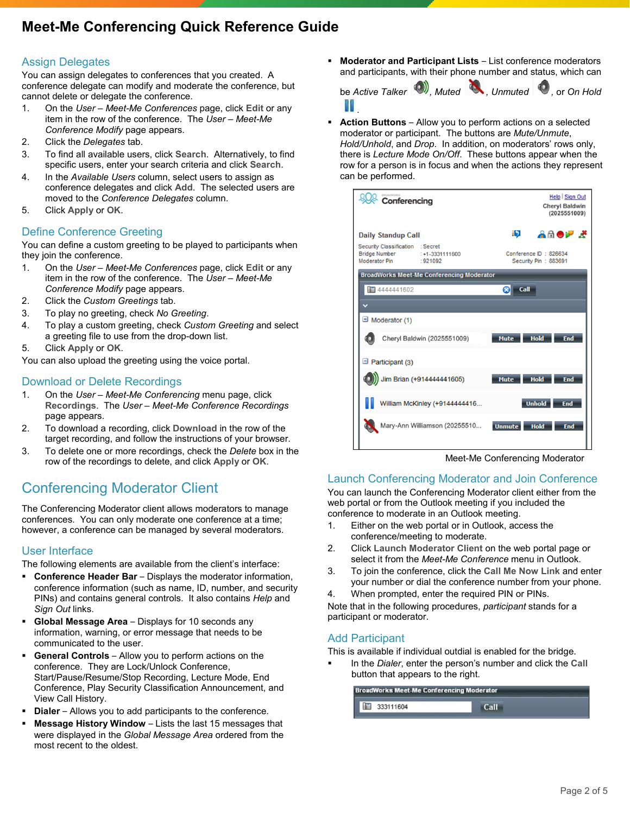## **Meet-Me Conferencing Quick Reference Guide**

#### Assign Delegates

You can assign delegates to conferences that you created. A conference delegate can modify and moderate the conference, but cannot delete or delegate the conference.

- 1. On the *User – Meet-Me Conferences* page, click **Edit** or any item in the row of the conference. The *User – Meet-Me Conference Modify* page appears.
- 2. Click the *Delegates* tab.
- 3. To find all available users, click **Search**. Alternatively, to find specific users, enter your search criteria and click **Search**.
- 4. In the *Available Users* column, select users to assign as conference delegates and click **Add**. The selected users are moved to the *Conference Delegates* column.
- 5. Click **Apply** or **OK**.

### Define Conference Greeting

You can define a custom greeting to be played to participants when they join the conference.

- 1. On the *User – Meet-Me Conferences* page, click **Edit** or any item in the row of the conference. The *User – Meet-Me Conference Modify* page appears.
- 2. Click the *Custom Greetings* tab.
- 3. To play no greeting, check *No Greeting*.
- 4. To play a custom greeting, check *Custom Greeting* and select a greeting file to use from the drop-down list.
- 5. Click **Apply** or **OK**.

You can also upload the greeting using the voice portal.

### Download or Delete Recordings

- 1. On the *User – Meet-Me Conferencing* menu page, click **Recordings**. The *User – Meet-Me Conference Recordings* page appears.
- 2. To download a recording, click **Download** in the row of the target recording, and follow the instructions of your browser.
- 3. To delete one or more recordings, check the *Delete* box in the row of the recordings to delete, and click **Apply** or **OK**.

## Conferencing Moderator Client

The Conferencing Moderator client allows moderators to manage conferences. You can only moderate one conference at a time; however, a conference can be managed by several moderators.

#### User Interface

The following elements are available from the client's interface:

- **Conference Header Bar** Displays the moderator information, conference information (such as name, ID, number, and security PINs) and contains general controls. It also contains *Help* and *Sign Out* links.
- **Global Message Area** Displays for 10 seconds any information, warning, or error message that needs to be communicated to the user.
- **General Controls** Allow you to perform actions on the conference. They are Lock/Unlock Conference, Start/Pause/Resume/Stop Recording, Lecture Mode, End Conference, Play Security Classification Announcement, and View Call History.
- **Dialer**  Allows you to add participants to the conference.
- **Message History Window** Lists the last 15 messages that were displayed in the *Global Message Area* ordered from the most recent to the oldest.

 **Moderator and Participant Lists** – List conference moderators and participants, with their phone number and status, which can

be *Active Talker* **(b)**, Muted *, Unmuted* or *On Hold* .

 **Action Buttons** – Allow you to perform actions on a selected moderator or participant. The buttons are *Mute/Unmute*, *Hold/Unhold*, and *Drop*. In addition, on moderators' rows only, there is *Lecture Mode On/Off*. These buttons appear when the row for a person is in focus and when the actions they represent can be performed.



Meet-Me Conferencing Moderator

### Launch Conferencing Moderator and Join Conference

You can launch the Conferencing Moderator client either from the web portal or from the Outlook meeting if you included the conference to moderate in an Outlook meeting.

- 1. Either on the web portal or in Outlook, access the conference/meeting to moderate.
- 2. Click **Launch Moderator Client** on the web portal page or select it from the *Meet-Me Conference* menu in Outlook.
- 3. To join the conference, click the **Call Me Now Link** and enter your number or dial the conference number from your phone.
- 4. When prompted, enter the required PIN or PINs.

Note that in the following procedures, *participant* stands for a participant or moderator.

### Add Participant

This is available if individual outdial is enabled for the bridge.

 In the *Dialer*, enter the person's number and click the **Call** button that appears to the right.

| <b>BroadWorks Meet-Me Conferencing Moderator</b> |      |  |
|--------------------------------------------------|------|--|
| 333111604                                        | Call |  |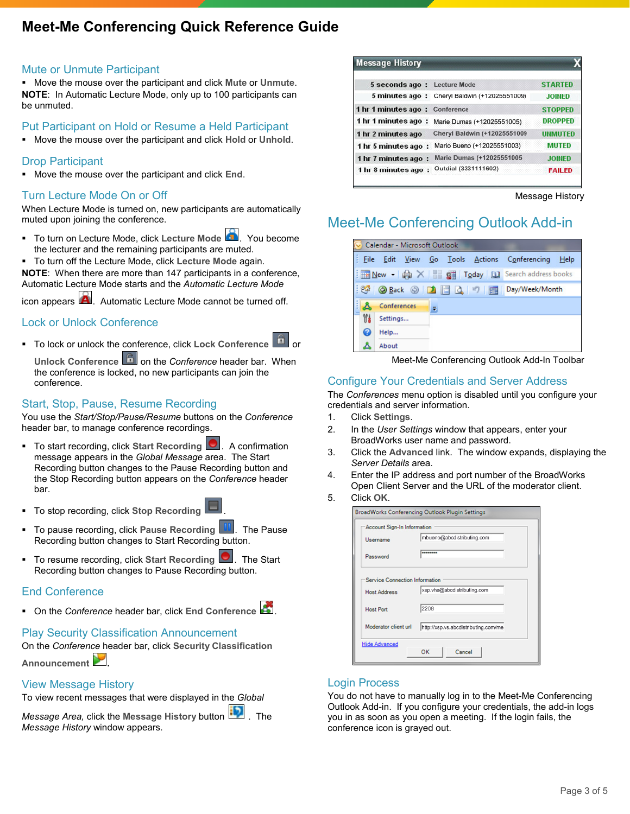# **Meet-Me Conferencing Quick Reference Guide**

### Mute or Unmute Participant

 Move the mouse over the participant and click **Mute** or **Unmute**. **NOTE**: In Automatic Lecture Mode, only up to 100 participants can be unmuted.

### Put Participant on Hold or Resume a Held Participant

Move the mouse over the participant and click **Hold** or **Unhold**.

### Drop Participant

Move the mouse over the participant and click **End**.

### Turn Lecture Mode On or Off

When Lecture Mode is turned on, new participants are automatically muted upon joining the conference.

- To turn on Lecture Mode, click **Lecture Mode** . You become the lecturer and the remaining participants are muted.
- To turn off the Lecture Mode, click **Lecture Mode** again.

**NOTE**: When there are more than 147 participants in a conference, Automatic Lecture Mode starts and the *Automatic Lecture Mode*

icon appears  $\left| \rule{0pt}{13pt} \right|$ . Automatic Lecture Mode cannot be turned off.

### Lock or Unlock Conference

 $\blacksquare$  To lock or unlock the conference, click Lock Conference

**Unlock Conference n** on the *Conference* header bar. When the conference is locked, no new participants can join the conference.

### Start, Stop, Pause, Resume Recording

You use the *Start/Stop/Pause/Resume* buttons on the *Conference*  header bar, to manage conference recordings.

- **TO start recording, click Start Recording <b>Q**. A confirmation message appears in the *Global Message* area. The Start Recording button changes to the Pause Recording button and the Stop Recording button appears on the *Conference* header bar.
- To stop recording, click **Stop Recording** .
- To pause recording, click **Pause Recording** . The Pause Recording button changes to Start Recording button.
- To resume recording, click **Start Recording** . The Start Recording button changes to Pause Recording button.

### End Conference

**On the Conference header bar, click End Conference** 

## Play Security Classification Announcement

On the *Conference* header bar, click **Security Classification** 

**Announcement .**

## View Message History

To view recent messages that were displayed in the *Global* 

*Message Area,* click the **Message History** button . The *Message History* window appears.

| 5 seconds ago: Lecture Mode    |                                                | <b>STARTED</b>  |
|--------------------------------|------------------------------------------------|-----------------|
|                                |                                                |                 |
|                                | 5 minutes ago: Cheryl Baldwin (+12025551009)   | <b>JOINED</b>   |
| 1 hr 1 minutes ago: Conference |                                                | <b>STOPPED</b>  |
|                                | 1 hr 1 minutes ago: Marie Dumas (+12025551005) | <b>DROPPED</b>  |
| 1 hr 2 minutes ago             | <b>Cheryl Baldwin (+12025551009)</b>           | <b>UNIMUTED</b> |
| 1 hr 5 minutes ago:            | Mario Bueno (+12025551003)                     | <b>MUTED</b>    |
| 1 hr 7 minutes ago:            | Marie Dumas (+12025551005                      | <b>JOINED</b>   |
| 1 hr 8 minutes ago:            | Outdial (3331111602)                           | <b>FAILED</b>   |

Message History

# Meet-Me Conferencing Outlook Add-in



Meet-Me Conferencing Outlook Add-In Toolbar

## Configure Your Credentials and Server Address

The *Conferences* menu option is disabled until you configure your credentials and server information.

- 1. Click **Settings**.
- 2. In the *User Settings* window that appears, enter your BroadWorks user name and password.
- 3. Click the **Advanced** link. The window expands, displaying the *Server Details* area.
- 4. Enter the IP address and port number of the BroadWorks Open Client Server and the URL of the moderator client.

#### 5. Click **OK**.

| <b>Account Sign-In Information</b> |                             |
|------------------------------------|-----------------------------|
| Username                           | mbueno@abcdistributing.com  |
| Password                           |                             |
|                                    |                             |
| Service Connection Information     |                             |
| <b>Host Address</b>                | xsp.vhs@abcdistributing.com |
| <b>Host Port</b>                   | 2208                        |

### Login Process

You do not have to manually log in to the Meet-Me Conferencing Outlook Add-in. If you configure your credentials, the add-in logs you in as soon as you open a meeting. If the login fails, the conference icon is grayed out.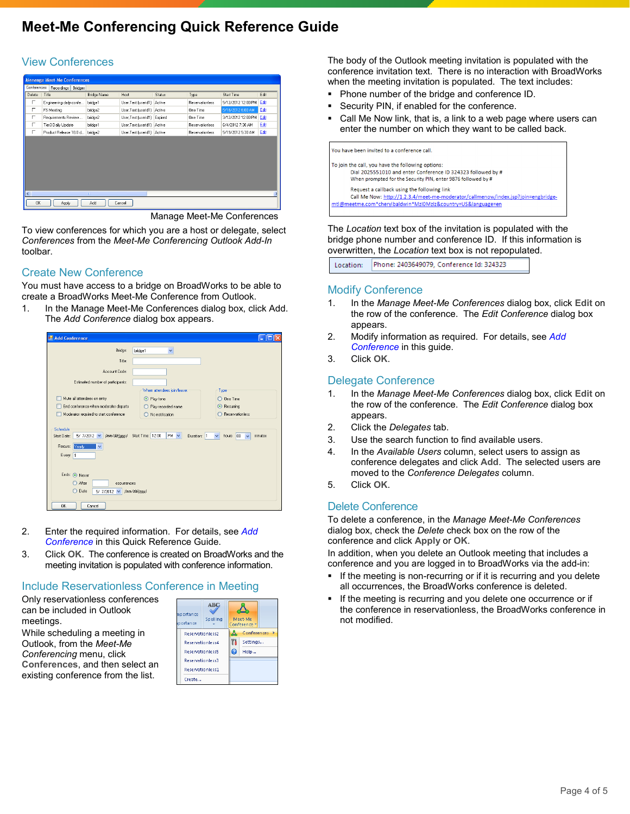# **Meet-Me Conferencing Quick Reference Guide**

### View Conferences

| Delete | Title                   | <b>Bridge Name</b> | Host                        | <b>Status</b> | Type                   | Start Time         | Edit |
|--------|-------------------------|--------------------|-----------------------------|---------------|------------------------|--------------------|------|
| г      | Engineering daily confe | bridge1            | User, Test (userid1)        | Active        | <b>Reservationless</b> | 5/12/2012 12:00 PM | Edit |
| г      | FS Meeting              | bridge2            | User, Test (userid1)        | Active        | One Time               | 5/18/2012 6:00 AM  | Edit |
| г      | Requirements Review     | bridge2            | User, Test (userid1)        | Expired       | One Time               | 3/12/2012 12:00 PM | Edit |
| г      | Tier3 Daily Update      | bridge1            | User, Test (userid1)        | Active        | Reservationless        | 6/4/2012 7:30 AM   | Edit |
| г      | Product Release 18.0 d  | bridge2            | User, Test (userid1) Active |               | <b>Reservationless</b> | 5/19/2012 5:30 AM  | Edit |
|        |                         |                    |                             |               |                        |                    |      |
|        |                         |                    |                             |               |                        |                    |      |

Manage Meet-Me Conferences

To view conferences for which you are a host or delegate, select *Conferences* from the *Meet-Me Conferencing Outlook Add-In* toolbar.

## Create New Conference

You must have access to a bridge on BroadWorks to be able to create a BroadWorks Meet-Me Conference from Outlook.

1. In the Manage Meet-Me Conferences dialog box, click Add. The *Add Conference* dialog box appears.

| Add Conference                                                                                                      |                                                                                         |                                                             |  |
|---------------------------------------------------------------------------------------------------------------------|-----------------------------------------------------------------------------------------|-------------------------------------------------------------|--|
| Bridge:                                                                                                             | bridge1<br>$\checkmark$                                                                 |                                                             |  |
| Title:<br>Account Code:                                                                                             |                                                                                         |                                                             |  |
| Estimated number of participants:                                                                                   |                                                                                         |                                                             |  |
| Mute all attendees on entry<br>End conference when moderator departs<br>Moderator required to start conference      | When attendees join/leave:<br>$\odot$ Play tone<br>Ray recorded name<br>No notification | Type<br>$O$ One Time<br>⊙ Recurring<br>○ Reservationless    |  |
| Schedule<br>5/ 7/2012 v (mm/dd/jggy) Start Time: 12:00<br>Start Date:<br>Recurs: Yearly<br>$\checkmark$<br>Every: 1 | $PM$ $\vee$<br>Duration: 1                                                              | minutes<br>hours 00<br>$\ddot{\phantom{0}}$<br>$\checkmark$ |  |
| Ends: O Never<br>○ After<br>occurrences<br>Date<br>5/7/2012 $\vee$<br>∩<br>(mm/dd/wwv)                              |                                                                                         |                                                             |  |
| <b>OK</b><br>Cancel                                                                                                 |                                                                                         |                                                             |  |

- 2. Enter the required information. For details, see *[Add](#page-0-0)  [Conference](#page-0-0)* in this Quick Reference Guide.
- 3. Click **OK**. The conference is created on BroadWorks and the meeting invitation is populated with conference information.

## Include Reservationless Conference in Meeting

Only reservationless conferences can be included in Outlook meetings. While scheduling a meeting in Outlook, from the *Meet-Me Conferencing* menu, click **Conferences**, and then select an existing conference from the list.

| nportance                                                    | ABC.     |    | Meet-Me      |
|--------------------------------------------------------------|----------|----|--------------|
| portance                                                     | Spelling |    | Conference * |
| <b>Reservationless2</b>                                      |          | Δ  | Conferences  |
| Reservationless4                                             |          | Ył | Settings     |
| <b>Resenrationless5</b>                                      |          | Q  | Help         |
| <b>Resenrationless3</b><br><b>Resenrationless1</b><br>Create |          |    |              |

The body of the Outlook meeting invitation is populated with the conference invitation text. There is no interaction with BroadWorks when the meeting invitation is populated. The text includes:

- Phone number of the bridge and conference ID.
- **Security PIN, if enabled for the conference.**
- Call Me Now link, that is, a link to a web page where users can enter the number on which they want to be called back.

| You have been invited to a conference call.                                                                                                                                       |
|-----------------------------------------------------------------------------------------------------------------------------------------------------------------------------------|
| To join the call, you have the following options:<br>Dial 2025551010 and enter Conference ID 324323 followed by #<br>When prompted for the Security PIN, enter 9876 followed by # |
| Request a callback using the following link<br>Call Me Now: http://1.2.3.4/meet-me-moderator/callmenow/index.jsp?join=engbridge-                                                  |
| mtl@meetme.com*cherylbaldwin*MzI0MzIz&country=US&language=en                                                                                                                      |

The *Location* text box of the invitation is populated with the bridge phone number and conference ID. If this information is overwritten, the *Location* text box is not repopulated.

Phone: 2403649079, Conference Id: 324323 Location:

### Modify Conference

- 1. In the *Manage Meet-Me Conferences* dialog box, click **Edit** on the row of the conference. The *Edit Conference* dialog box appears.
- 2. Modify information as required. For details, see *[Add](#page-0-0)  [Conference](#page-0-0)* in this guide.
- 3. Click **OK**.

### Delegate Conference

- 1. In the *Manage Meet-Me Conferences* dialog box, click **Edit** on the row of the conference. The *Edit Conference* dialog box appears.
- 2. Click the *Delegates* tab.
- 3. Use the search function to find available users.
- 4. In the *Available Users* column, select users to assign as conference delegates and click **Add**. The selected users are moved to the *Conference Delegates* column.
- 5. Click **OK**.

### Delete Conference

To delete a conference, in the *Manage Meet-Me Conferences* dialog box, check the *Delete* check box on the row of the conference and click **Apply** or **OK**.

In addition, when you delete an Outlook meeting that includes a conference and you are logged in to BroadWorks via the add-in:

- If the meeting is non-recurring or if it is recurring and you delete all occurrences, the BroadWorks conference is deleted.
- If the meeting is recurring and you delete one occurrence or if the conference in reservationless, the BroadWorks conference in not modified.